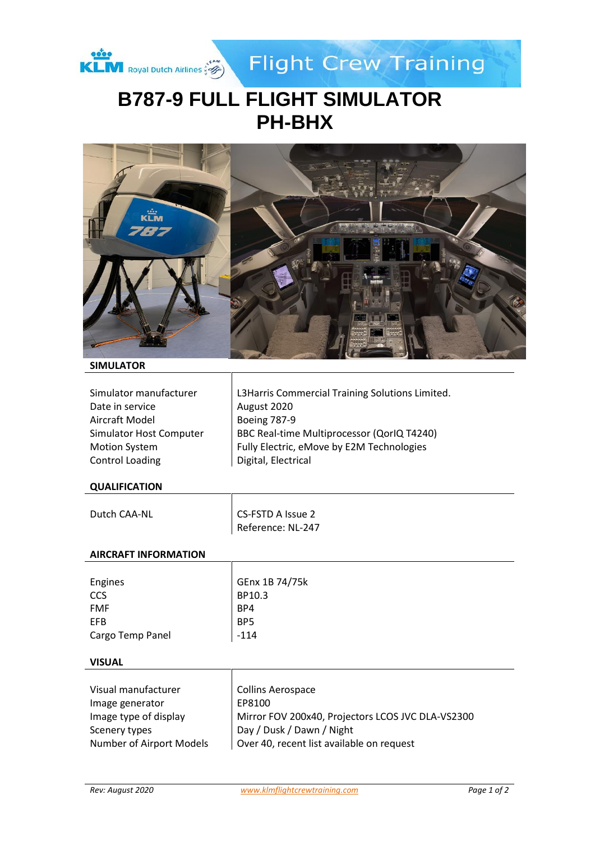

**Flight Crew Training** 

# **B787-9 FULL FLIGHT SIMULATOR PH-BHX**



## **SIMULATOR**

| Simulator manufacturer  |
|-------------------------|
| Date in service         |
| Aircraft Model          |
| Simulator Host Computer |
| <b>Motion System</b>    |
| <b>Control Loading</b>  |

L3Harris Commercial Training Solutions Limited. August 2020 Boeing 787-9 BBC Real-time Multiprocessor (QorIQ T4240) Fully Electric, eMove by E2M Technologies Digital, Electrical

#### **QUALIFICATION**

| Dutch CAA-NL | CS-FSTD A Issue 2 |
|--------------|-------------------|
|              | Reference: NL-247 |

#### **AIRCRAFT INFORMATION**

| Engines          | GEnx 1B 74/75k  |
|------------------|-----------------|
| <b>CCS</b>       | BP10.3          |
| <b>FMF</b>       | BP4             |
| EFB              | BP <sub>5</sub> |
| Cargo Temp Panel | $-114$          |

#### **VISUAL**

| Visual manufacturer<br>Image generator | Collins Aerospace<br>EP8100                       |
|----------------------------------------|---------------------------------------------------|
| Image type of display                  | Mirror FOV 200x40, Projectors LCOS JVC DLA-VS2300 |
| Scenery types                          | Day / Dusk / Dawn / Night                         |
| Number of Airport Models               | Over 40, recent list available on request         |

 $\mathbf{I}$